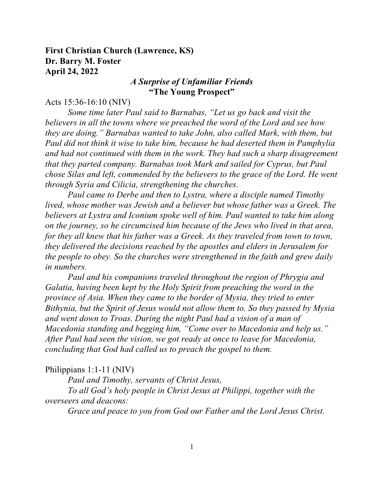# **First Christian Church (Lawrence, KS) Dr. Barry M. Foster April 24, 2022**

# *A Surprise of Unfamiliar Friends* **"The Young Prospect"**

### Acts 15:36-16:10 (NIV)

*Some time later Paul said to Barnabas, "Let us go back and visit the believers in all the towns where we preached the word of the Lord and see how they are doing." Barnabas wanted to take John, also called Mark, with them, but Paul did not think it wise to take him, because he had deserted them in Pamphylia and had not continued with them in the work. They had such a sharp disagreement that they parted company. Barnabas took Mark and sailed for Cyprus, but Paul chose Silas and left, commended by the believers to the grace of the Lord. He went through Syria and Cilicia, strengthening the churches.*

*Paul came to Derbe and then to Lystra, where a disciple named Timothy lived, whose mother was Jewish and a believer but whose father was a Greek. The believers at Lystra and Iconium spoke well of him. Paul wanted to take him along on the journey, so he circumcised him because of the Jews who lived in that area, for they all knew that his father was a Greek. As they traveled from town to town, they delivered the decisions reached by the apostles and elders in Jerusalem for the people to obey. So the churches were strengthened in the faith and grew daily in numbers.*

*Paul and his companions traveled throughout the region of Phrygia and Galatia, having been kept by the Holy Spirit from preaching the word in the province of Asia. When they came to the border of Mysia, they tried to enter Bithynia, but the Spirit of Jesus would not allow them to. So they passed by Mysia and went down to Troas. During the night Paul had a vision of a man of Macedonia standing and begging him, "Come over to Macedonia and help us." After Paul had seen the vision, we got ready at once to leave for Macedonia, concluding that God had called us to preach the gospel to them.*

#### Philippians 1:1-11 (NIV)

*Paul and Timothy, servants of Christ Jesus, To all God's holy people in Christ Jesus at Philippi, together with the overseers and deacons:*

*Grace and peace to you from God our Father and the Lord Jesus Christ.*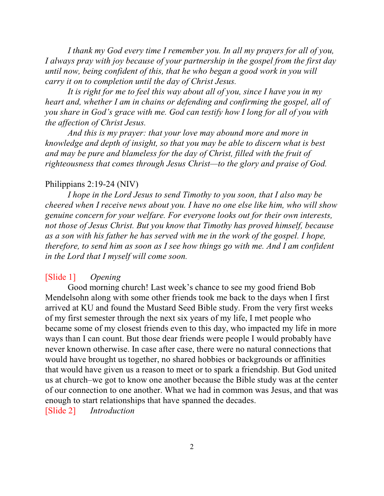*I thank my God every time I remember you. In all my prayers for all of you, I always pray with joy because of your partnership in the gospel from the first day until now, being confident of this, that he who began a good work in you will carry it on to completion until the day of Christ Jesus.*

*It is right for me to feel this way about all of you, since I have you in my heart and, whether I am in chains or defending and confirming the gospel, all of you share in God's grace with me. God can testify how I long for all of you with the affection of Christ Jesus.*

*And this is my prayer: that your love may abound more and more in knowledge and depth of insight, so that you may be able to discern what is best and may be pure and blameless for the day of Christ, filled with the fruit of righteousness that comes through Jesus Christ—to the glory and praise of God.*

#### Philippians 2:19-24 (NIV)

*I hope in the Lord Jesus to send Timothy to you soon, that I also may be cheered when I receive news about you. I have no one else like him, who will show genuine concern for your welfare. For everyone looks out for their own interests, not those of Jesus Christ. But you know that Timothy has proved himself, because as a son with his father he has served with me in the work of the gospel. I hope, therefore, to send him as soon as I see how things go with me. And I am confident in the Lord that I myself will come soon.*

#### [Slide 1] *Opening*

Good morning church! Last week's chance to see my good friend Bob Mendelsohn along with some other friends took me back to the days when I first arrived at KU and found the Mustard Seed Bible study. From the very first weeks of my first semester through the next six years of my life, I met people who became some of my closest friends even to this day, who impacted my life in more ways than I can count. But those dear friends were people I would probably have never known otherwise. In case after case, there were no natural connections that would have brought us together, no shared hobbies or backgrounds or affinities that would have given us a reason to meet or to spark a friendship. But God united us at church–we got to know one another because the Bible study was at the center of our connection to one another. What we had in common was Jesus, and that was enough to start relationships that have spanned the decades.

[Slide 2] *Introduction*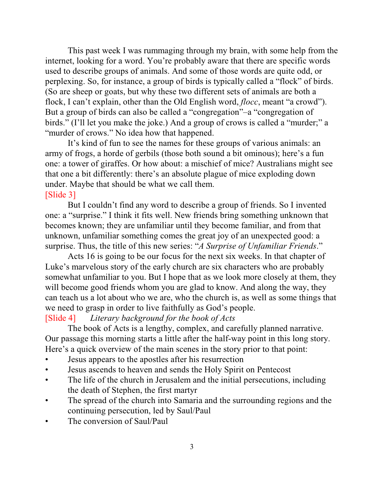This past week I was rummaging through my brain, with some help from the internet, looking for a word. You're probably aware that there are specific words used to describe groups of animals. And some of those words are quite odd, or perplexing. So, for instance, a group of birds is typically called a "flock" of birds. (So are sheep or goats, but why these two different sets of animals are both a flock, I can't explain, other than the Old English word, *flocc*, meant "a crowd"). But a group of birds can also be called a "congregation"–a "congregation of birds." (I'll let you make the joke.) And a group of crows is called a "murder;" a "murder of crows." No idea how that happened.

It's kind of fun to see the names for these groups of various animals: an army of frogs, a horde of gerbils (those both sound a bit ominous); here's a fun one: a tower of giraffes. Or how about: a mischief of mice? Australians might see that one a bit differently: there's an absolute plague of mice exploding down under. Maybe that should be what we call them. [Slide 3]

But I couldn't find any word to describe a group of friends. So I invented one: a "surprise." I think it fits well. New friends bring something unknown that becomes known; they are unfamiliar until they become familiar, and from that unknown, unfamiliar something comes the great joy of an unexpected good: a surprise. Thus, the title of this new series: "*A Surprise of Unfamiliar Friends*."

Acts 16 is going to be our focus for the next six weeks. In that chapter of Luke's marvelous story of the early church are six characters who are probably somewhat unfamiliar to you. But I hope that as we look more closely at them, they will become good friends whom you are glad to know. And along the way, they can teach us a lot about who we are, who the church is, as well as some things that we need to grasp in order to live faithfully as God's people.

# [Slide 4] *Literary background for the book of Acts*

The book of Acts is a lengthy, complex, and carefully planned narrative. Our passage this morning starts a little after the half-way point in this long story. Here's a quick overview of the main scenes in the story prior to that point:

- Jesus appears to the apostles after his resurrection
- Jesus ascends to heaven and sends the Holy Spirit on Pentecost
- The life of the church in Jerusalem and the initial persecutions, including the death of Stephen, the first martyr
- The spread of the church into Samaria and the surrounding regions and the continuing persecution, led by Saul/Paul
- The conversion of Saul/Paul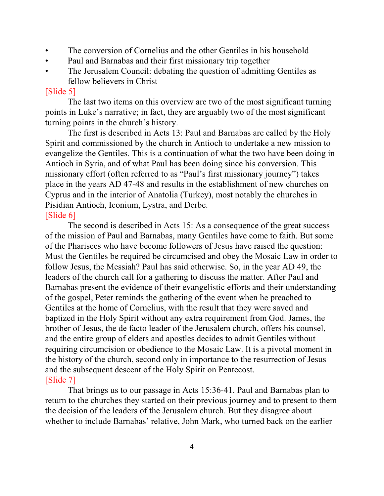- The conversion of Cornelius and the other Gentiles in his household
- Paul and Barnabas and their first missionary trip together
- The Jerusalem Council: debating the question of admitting Gentiles as fellow believers in Christ

## [Slide 5]

The last two items on this overview are two of the most significant turning points in Luke's narrative; in fact, they are arguably two of the most significant turning points in the church's history.

The first is described in Acts 13: Paul and Barnabas are called by the Holy Spirit and commissioned by the church in Antioch to undertake a new mission to evangelize the Gentiles. This is a continuation of what the two have been doing in Antioch in Syria, and of what Paul has been doing since his conversion. This missionary effort (often referred to as "Paul's first missionary journey") takes place in the years AD 47-48 and results in the establishment of new churches on Cyprus and in the interior of Anatolia (Turkey), most notably the churches in Pisidian Antioch, Iconium, Lystra, and Derbe. [Slide 6]

The second is described in Acts 15: As a consequence of the great success of the mission of Paul and Barnabas, many Gentiles have come to faith. But some of the Pharisees who have become followers of Jesus have raised the question: Must the Gentiles be required be circumcised and obey the Mosaic Law in order to follow Jesus, the Messiah? Paul has said otherwise. So, in the year AD 49, the leaders of the church call for a gathering to discuss the matter. After Paul and Barnabas present the evidence of their evangelistic efforts and their understanding of the gospel, Peter reminds the gathering of the event when he preached to Gentiles at the home of Cornelius, with the result that they were saved and baptized in the Holy Spirit without any extra requirement from God. James, the brother of Jesus, the de facto leader of the Jerusalem church, offers his counsel, and the entire group of elders and apostles decides to admit Gentiles without requiring circumcision or obedience to the Mosaic Law. It is a pivotal moment in the history of the church, second only in importance to the resurrection of Jesus and the subsequent descent of the Holy Spirit on Pentecost. [Slide 7]

That brings us to our passage in Acts 15:36-41. Paul and Barnabas plan to return to the churches they started on their previous journey and to present to them the decision of the leaders of the Jerusalem church. But they disagree about whether to include Barnabas' relative, John Mark, who turned back on the earlier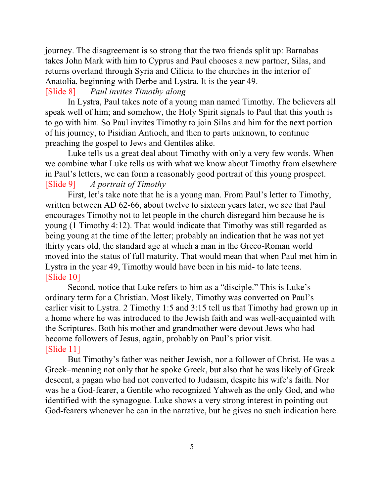journey. The disagreement is so strong that the two friends split up: Barnabas takes John Mark with him to Cyprus and Paul chooses a new partner, Silas, and returns overland through Syria and Cilicia to the churches in the interior of Anatolia, beginning with Derbe and Lystra. It is the year 49.

## [Slide 8] *Paul invites Timothy along*

In Lystra, Paul takes note of a young man named Timothy. The believers all speak well of him; and somehow, the Holy Spirit signals to Paul that this youth is to go with him. So Paul invites Timothy to join Silas and him for the next portion of his journey, to Pisidian Antioch, and then to parts unknown, to continue preaching the gospel to Jews and Gentiles alike.

Luke tells us a great deal about Timothy with only a very few words. When we combine what Luke tells us with what we know about Timothy from elsewhere in Paul's letters, we can form a reasonably good portrait of this young prospect. [Slide 9] *A portrait of Timothy*

First, let's take note that he is a young man. From Paul's letter to Timothy, written between AD 62-66, about twelve to sixteen years later, we see that Paul encourages Timothy not to let people in the church disregard him because he is young (1 Timothy 4:12). That would indicate that Timothy was still regarded as being young at the time of the letter; probably an indication that he was not yet thirty years old, the standard age at which a man in the Greco-Roman world moved into the status of full maturity. That would mean that when Paul met him in Lystra in the year 49, Timothy would have been in his mid- to late teens. [Slide 10]

Second, notice that Luke refers to him as a "disciple." This is Luke's ordinary term for a Christian. Most likely, Timothy was converted on Paul's earlier visit to Lystra. 2 Timothy 1:5 and 3:15 tell us that Timothy had grown up in a home where he was introduced to the Jewish faith and was well-acquainted with the Scriptures. Both his mother and grandmother were devout Jews who had become followers of Jesus, again, probably on Paul's prior visit. [Slide 11]

But Timothy's father was neither Jewish, nor a follower of Christ. He was a Greek–meaning not only that he spoke Greek, but also that he was likely of Greek descent, a pagan who had not converted to Judaism, despite his wife's faith. Nor was he a God-fearer, a Gentile who recognized Yahweh as the only God, and who identified with the synagogue. Luke shows a very strong interest in pointing out God-fearers whenever he can in the narrative, but he gives no such indication here.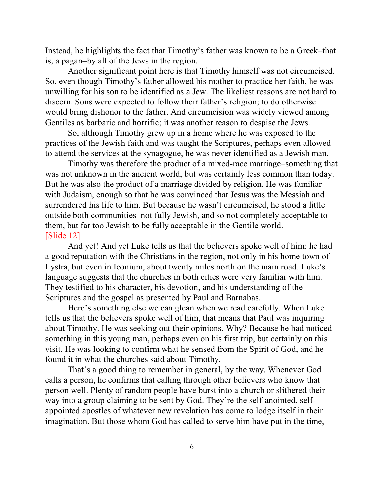Instead, he highlights the fact that Timothy's father was known to be a Greek–that is, a pagan–by all of the Jews in the region.

Another significant point here is that Timothy himself was not circumcised. So, even though Timothy's father allowed his mother to practice her faith, he was unwilling for his son to be identified as a Jew. The likeliest reasons are not hard to discern. Sons were expected to follow their father's religion; to do otherwise would bring dishonor to the father. And circumcision was widely viewed among Gentiles as barbaric and horrific; it was another reason to despise the Jews.

So, although Timothy grew up in a home where he was exposed to the practices of the Jewish faith and was taught the Scriptures, perhaps even allowed to attend the services at the synagogue, he was never identified as a Jewish man.

Timothy was therefore the product of a mixed-race marriage–something that was not unknown in the ancient world, but was certainly less common than today. But he was also the product of a marriage divided by religion. He was familiar with Judaism, enough so that he was convinced that Jesus was the Messiah and surrendered his life to him. But because he wasn't circumcised, he stood a little outside both communities–not fully Jewish, and so not completely acceptable to them, but far too Jewish to be fully acceptable in the Gentile world. [Slide 12]

And yet! And yet Luke tells us that the believers spoke well of him: he had a good reputation with the Christians in the region, not only in his home town of Lystra, but even in Iconium, about twenty miles north on the main road. Luke's language suggests that the churches in both cities were very familiar with him. They testified to his character, his devotion, and his understanding of the Scriptures and the gospel as presented by Paul and Barnabas.

Here's something else we can glean when we read carefully. When Luke tells us that the believers spoke well of him, that means that Paul was inquiring about Timothy. He was seeking out their opinions. Why? Because he had noticed something in this young man, perhaps even on his first trip, but certainly on this visit. He was looking to confirm what he sensed from the Spirit of God, and he found it in what the churches said about Timothy.

That's a good thing to remember in general, by the way. Whenever God calls a person, he confirms that calling through other believers who know that person well. Plenty of random people have burst into a church or slithered their way into a group claiming to be sent by God. They're the self-anointed, selfappointed apostles of whatever new revelation has come to lodge itself in their imagination. But those whom God has called to serve him have put in the time,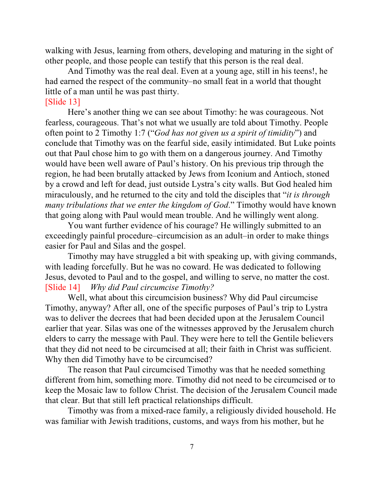walking with Jesus, learning from others, developing and maturing in the sight of other people, and those people can testify that this person is the real deal.

And Timothy was the real deal. Even at a young age, still in his teens!, he had earned the respect of the community–no small feat in a world that thought little of a man until he was past thirty.

### [Slide 13]

Here's another thing we can see about Timothy: he was courageous. Not fearless, courageous. That's not what we usually are told about Timothy. People often point to 2 Timothy 1:7 ("*God has not given us a spirit of timidity*") and conclude that Timothy was on the fearful side, easily intimidated. But Luke points out that Paul chose him to go with them on a dangerous journey. And Timothy would have been well aware of Paul's history. On his previous trip through the region, he had been brutally attacked by Jews from Iconium and Antioch, stoned by a crowd and left for dead, just outside Lystra's city walls. But God healed him miraculously, and he returned to the city and told the disciples that "*it is through many tribulations that we enter the kingdom of God*." Timothy would have known that going along with Paul would mean trouble. And he willingly went along.

You want further evidence of his courage? He willingly submitted to an exceedingly painful procedure–circumcision as an adult–in order to make things easier for Paul and Silas and the gospel.

Timothy may have struggled a bit with speaking up, with giving commands, with leading forcefully. But he was no coward. He was dedicated to following Jesus, devoted to Paul and to the gospel, and willing to serve, no matter the cost. [Slide 14] *Why did Paul circumcise Timothy?*

Well, what about this circumcision business? Why did Paul circumcise Timothy, anyway? After all, one of the specific purposes of Paul's trip to Lystra was to deliver the decrees that had been decided upon at the Jerusalem Council earlier that year. Silas was one of the witnesses approved by the Jerusalem church elders to carry the message with Paul. They were here to tell the Gentile believers that they did not need to be circumcised at all; their faith in Christ was sufficient. Why then did Timothy have to be circumcised?

The reason that Paul circumcised Timothy was that he needed something different from him, something more. Timothy did not need to be circumcised or to keep the Mosaic law to follow Christ. The decision of the Jerusalem Council made that clear. But that still left practical relationships difficult.

Timothy was from a mixed-race family, a religiously divided household. He was familiar with Jewish traditions, customs, and ways from his mother, but he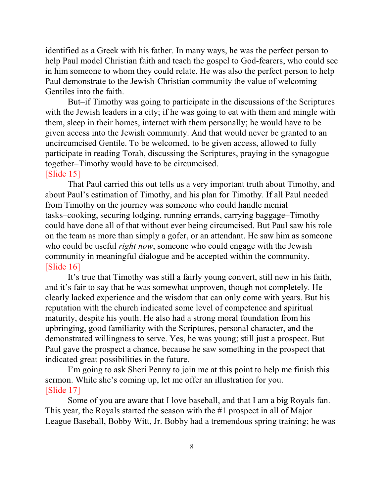identified as a Greek with his father. In many ways, he was the perfect person to help Paul model Christian faith and teach the gospel to God-fearers, who could see in him someone to whom they could relate. He was also the perfect person to help Paul demonstrate to the Jewish-Christian community the value of welcoming Gentiles into the faith.

But–if Timothy was going to participate in the discussions of the Scriptures with the Jewish leaders in a city; if he was going to eat with them and mingle with them, sleep in their homes, interact with them personally; he would have to be given access into the Jewish community. And that would never be granted to an uncircumcised Gentile. To be welcomed, to be given access, allowed to fully participate in reading Torah, discussing the Scriptures, praying in the synagogue together–Timothy would have to be circumcised. [Slide 15]

That Paul carried this out tells us a very important truth about Timothy, and about Paul's estimation of Timothy, and his plan for Timothy. If all Paul needed from Timothy on the journey was someone who could handle menial tasks–cooking, securing lodging, running errands, carrying baggage–Timothy could have done all of that without ever being circumcised. But Paul saw his role on the team as more than simply a gofer, or an attendant. He saw him as someone who could be useful *right now*, someone who could engage with the Jewish community in meaningful dialogue and be accepted within the community. [Slide 16]

It's true that Timothy was still a fairly young convert, still new in his faith, and it's fair to say that he was somewhat unproven, though not completely. He clearly lacked experience and the wisdom that can only come with years. But his reputation with the church indicated some level of competence and spiritual maturity, despite his youth. He also had a strong moral foundation from his upbringing, good familiarity with the Scriptures, personal character, and the demonstrated willingness to serve. Yes, he was young; still just a prospect. But Paul gave the prospect a chance, because he saw something in the prospect that indicated great possibilities in the future.

I'm going to ask Sheri Penny to join me at this point to help me finish this sermon. While she's coming up, let me offer an illustration for you. [Slide 17]

Some of you are aware that I love baseball, and that I am a big Royals fan. This year, the Royals started the season with the #1 prospect in all of Major League Baseball, Bobby Witt, Jr. Bobby had a tremendous spring training; he was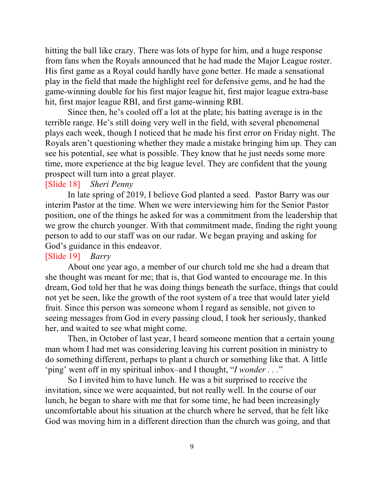hitting the ball like crazy. There was lots of hype for him, and a huge response from fans when the Royals announced that he had made the Major League roster. His first game as a Royal could hardly have gone better. He made a sensational play in the field that made the highlight reel for defensive gems, and he had the game-winning double for his first major league hit, first major league extra-base hit, first major league RBI, and first game-winning RBI.

Since then, he's cooled off a lot at the plate; his batting average is in the terrible range. He's still doing very well in the field, with several phenomenal plays each week, though I noticed that he made his first error on Friday night. The Royals aren't questioning whether they made a mistake bringing him up. They can see his potential, see what is possible. They know that he just needs some more time, more experience at the big league level. They are confident that the young prospect will turn into a great player.

### [Slide 18] *Sheri Penny*

In late spring of 2019, I believe God planted a seed. Pastor Barry was our interim Pastor at the time. When we were interviewing him for the Senior Pastor position, one of the things he asked for was a commitment from the leadership that we grow the church younger. With that commitment made, finding the right young person to add to our staff was on our radar. We began praying and asking for God's guidance in this endeavor.

### [Slide 19] *Barry*

About one year ago, a member of our church told me she had a dream that she thought was meant for me; that is, that God wanted to encourage me. In this dream, God told her that he was doing things beneath the surface, things that could not yet be seen, like the growth of the root system of a tree that would later yield fruit. Since this person was someone whom I regard as sensible, not given to seeing messages from God in every passing cloud, I took her seriously, thanked her, and waited to see what might come.

Then, in October of last year, I heard someone mention that a certain young man whom I had met was considering leaving his current position in ministry to do something different, perhaps to plant a church or something like that. A little 'ping' went off in my spiritual inbox–and I thought, "*I wonder . . .*"

So I invited him to have lunch. He was a bit surprised to receive the invitation, since we were acquainted, but not really well. In the course of our lunch, he began to share with me that for some time, he had been increasingly uncomfortable about his situation at the church where he served, that he felt like God was moving him in a different direction than the church was going, and that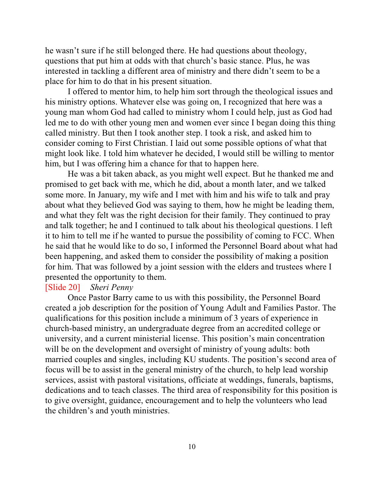he wasn't sure if he still belonged there. He had questions about theology, questions that put him at odds with that church's basic stance. Plus, he was interested in tackling a different area of ministry and there didn't seem to be a place for him to do that in his present situation.

I offered to mentor him, to help him sort through the theological issues and his ministry options. Whatever else was going on, I recognized that here was a young man whom God had called to ministry whom I could help, just as God had led me to do with other young men and women ever since I began doing this thing called ministry. But then I took another step. I took a risk, and asked him to consider coming to First Christian. I laid out some possible options of what that might look like. I told him whatever he decided, I would still be willing to mentor him, but I was offering him a chance for that to happen here.

He was a bit taken aback, as you might well expect. But he thanked me and promised to get back with me, which he did, about a month later, and we talked some more. In January, my wife and I met with him and his wife to talk and pray about what they believed God was saying to them, how he might be leading them, and what they felt was the right decision for their family. They continued to pray and talk together; he and I continued to talk about his theological questions. I left it to him to tell me if he wanted to pursue the possibility of coming to FCC. When he said that he would like to do so, I informed the Personnel Board about what had been happening, and asked them to consider the possibility of making a position for him. That was followed by a joint session with the elders and trustees where I presented the opportunity to them.

## [Slide 20] *Sheri Penny*

Once Pastor Barry came to us with this possibility, the Personnel Board created a job description for the position of Young Adult and Families Pastor. The qualifications for this position include a minimum of 3 years of experience in church-based ministry, an undergraduate degree from an accredited college or university, and a current ministerial license. This position's main concentration will be on the development and oversight of ministry of young adults: both married couples and singles, including KU students. The position's second area of focus will be to assist in the general ministry of the church, to help lead worship services, assist with pastoral visitations, officiate at weddings, funerals, baptisms, dedications and to teach classes. The third area of responsibility for this position is to give oversight, guidance, encouragement and to help the volunteers who lead the children's and youth ministries.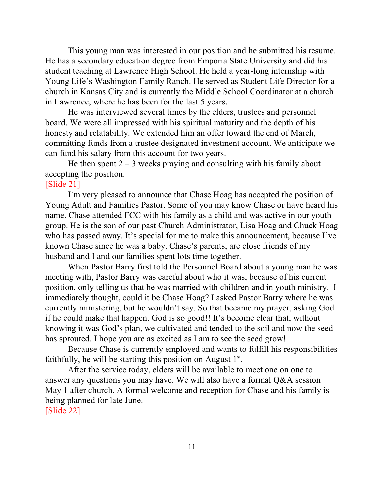This young man was interested in our position and he submitted his resume. He has a secondary education degree from Emporia State University and did his student teaching at Lawrence High School. He held a year-long internship with Young Life's Washington Family Ranch. He served as Student Life Director for a church in Kansas City and is currently the Middle School Coordinator at a church in Lawrence, where he has been for the last 5 years.

He was interviewed several times by the elders, trustees and personnel board. We were all impressed with his spiritual maturity and the depth of his honesty and relatability. We extended him an offer toward the end of March, committing funds from a trustee designated investment account. We anticipate we can fund his salary from this account for two years.

He then spent  $2 - 3$  weeks praying and consulting with his family about accepting the position.

# [Slide 21]

I'm very pleased to announce that Chase Hoag has accepted the position of Young Adult and Families Pastor. Some of you may know Chase or have heard his name. Chase attended FCC with his family as a child and was active in our youth group. He is the son of our past Church Administrator, Lisa Hoag and Chuck Hoag who has passed away. It's special for me to make this announcement, because I've known Chase since he was a baby. Chase's parents, are close friends of my husband and I and our families spent lots time together.

When Pastor Barry first told the Personnel Board about a young man he was meeting with, Pastor Barry was careful about who it was, because of his current position, only telling us that he was married with children and in youth ministry. I immediately thought, could it be Chase Hoag? I asked Pastor Barry where he was currently ministering, but he wouldn't say. So that became my prayer, asking God if he could make that happen. God is so good!! It's become clear that, without knowing it was God's plan, we cultivated and tended to the soil and now the seed has sprouted. I hope you are as excited as I am to see the seed grow!

Because Chase is currently employed and wants to fulfill his responsibilities faithfully, he will be starting this position on August  $1<sup>st</sup>$ .

After the service today, elders will be available to meet one on one to answer any questions you may have. We will also have a formal Q&A session May 1 after church. A formal welcome and reception for Chase and his family is being planned for late June. [Slide 22]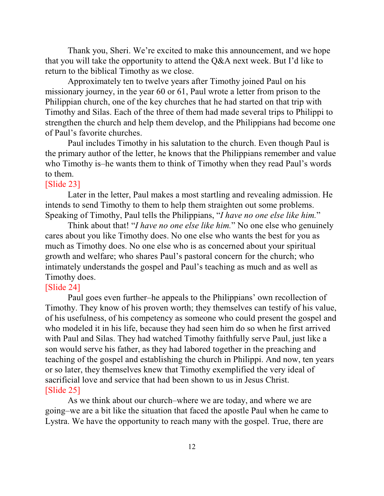Thank you, Sheri. We're excited to make this announcement, and we hope that you will take the opportunity to attend the Q&A next week. But I'd like to return to the biblical Timothy as we close.

Approximately ten to twelve years after Timothy joined Paul on his missionary journey, in the year 60 or 61, Paul wrote a letter from prison to the Philippian church, one of the key churches that he had started on that trip with Timothy and Silas. Each of the three of them had made several trips to Philippi to strengthen the church and help them develop, and the Philippians had become one of Paul's favorite churches.

Paul includes Timothy in his salutation to the church. Even though Paul is the primary author of the letter, he knows that the Philippians remember and value who Timothy is–he wants them to think of Timothy when they read Paul's words to them.

### [Slide 23]

Later in the letter, Paul makes a most startling and revealing admission. He intends to send Timothy to them to help them straighten out some problems. Speaking of Timothy, Paul tells the Philippians, "*I have no one else like him.*"

Think about that! "*I have no one else like him.*" No one else who genuinely cares about you like Timothy does. No one else who wants the best for you as much as Timothy does. No one else who is as concerned about your spiritual growth and welfare; who shares Paul's pastoral concern for the church; who intimately understands the gospel and Paul's teaching as much and as well as Timothy does.

## [Slide 24]

Paul goes even further–he appeals to the Philippians' own recollection of Timothy. They know of his proven worth; they themselves can testify of his value, of his usefulness, of his competency as someone who could present the gospel and who modeled it in his life, because they had seen him do so when he first arrived with Paul and Silas. They had watched Timothy faithfully serve Paul, just like a son would serve his father, as they had labored together in the preaching and teaching of the gospel and establishing the church in Philippi. And now, ten years or so later, they themselves knew that Timothy exemplified the very ideal of sacrificial love and service that had been shown to us in Jesus Christ. [Slide 25]

As we think about our church–where we are today, and where we are going–we are a bit like the situation that faced the apostle Paul when he came to Lystra. We have the opportunity to reach many with the gospel. True, there are